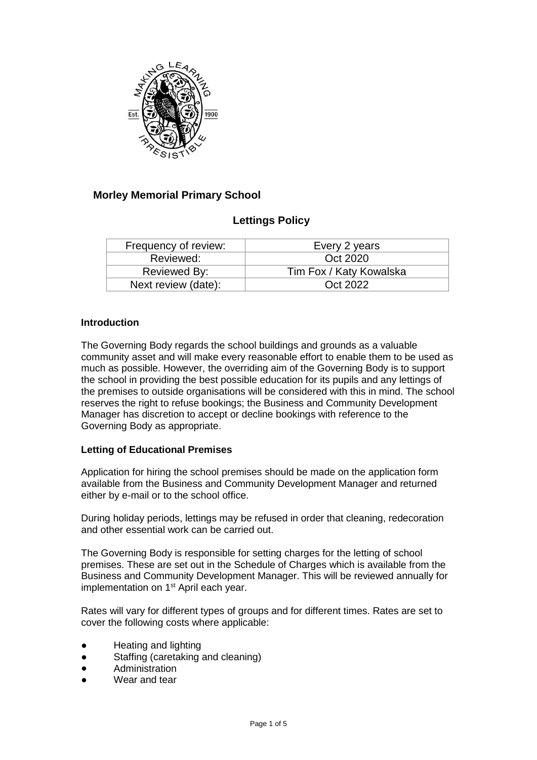

# **Morley Memorial Primary School**

## **Lettings Policy**

| Frequency of review: | Every 2 years           |
|----------------------|-------------------------|
| Reviewed:            | Oct 2020                |
| Reviewed By:         | Tim Fox / Katy Kowalska |
| Next review (date):  | Oct 2022                |

#### **Introduction**

The Governing Body regards the school buildings and grounds as a valuable community asset and will make every reasonable effort to enable them to be used as much as possible. However, the overriding aim of the Governing Body is to support the school in providing the best possible education for its pupils and any lettings of the premises to outside organisations will be considered with this in mind. The school reserves the right to refuse bookings; the Business and Community Development Manager has discretion to accept or decline bookings with reference to the Governing Body as appropriate.

#### **Letting of Educational Premises**

Application for hiring the school premises should be made on the application form available from the Business and Community Development Manager and returned either by e-mail or to the school office.

During holiday periods, lettings may be refused in order that cleaning, redecoration and other essential work can be carried out.

The Governing Body is responsible for setting charges for the letting of school premises. These are set out in the Schedule of Charges which is available from the Business and Community Development Manager. This will be reviewed annually for implementation on 1<sup>st</sup> April each year.

Rates will vary for different types of groups and for different times. Rates are set to cover the following costs where applicable:

- Heating and lighting
- Staffing (caretaking and cleaning)
- Administration
- Wear and tear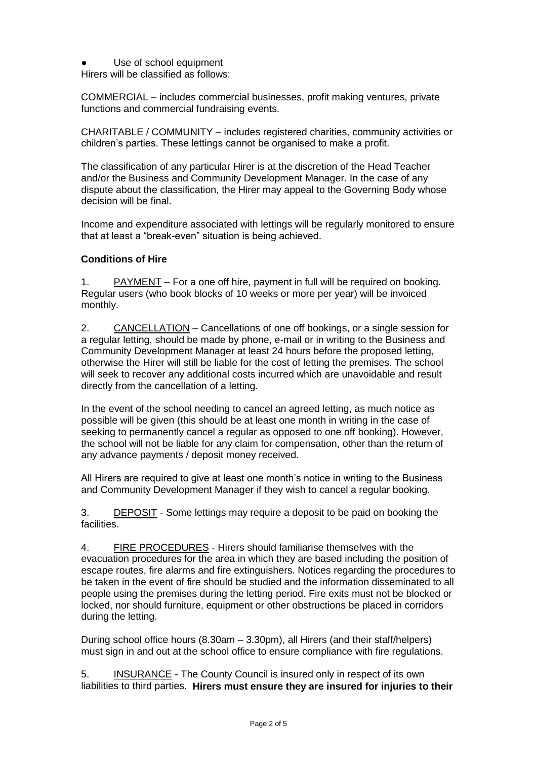Use of school equipment

Hirers will be classified as follows:

COMMERCIAL – includes commercial businesses, profit making ventures, private functions and commercial fundraising events.

CHARITABLE / COMMUNITY – includes registered charities, community activities or children's parties. These lettings cannot be organised to make a profit.

The classification of any particular Hirer is at the discretion of the Head Teacher and/or the Business and Community Development Manager. In the case of any dispute about the classification, the Hirer may appeal to the Governing Body whose decision will be final.

Income and expenditure associated with lettings will be regularly monitored to ensure that at least a "break-even" situation is being achieved.

### **Conditions of Hire**

1. PAYMENT – For a one off hire, payment in full will be required on booking. Regular users (who book blocks of 10 weeks or more per year) will be invoiced monthly.

2. CANCELLATION – Cancellations of one off bookings, or a single session for a regular letting, should be made by phone, e-mail or in writing to the Business and Community Development Manager at least 24 hours before the proposed letting, otherwise the Hirer will still be liable for the cost of letting the premises. The school will seek to recover any additional costs incurred which are unavoidable and result directly from the cancellation of a letting.

In the event of the school needing to cancel an agreed letting, as much notice as possible will be given (this should be at least one month in writing in the case of seeking to permanently cancel a regular as opposed to one off booking). However, the school will not be liable for any claim for compensation, other than the return of any advance payments / deposit money received.

All Hirers are required to give at least one month's notice in writing to the Business and Community Development Manager if they wish to cancel a regular booking.

3. DEPOSIT - Some lettings may require a deposit to be paid on booking the facilities.

4. FIRE PROCEDURES - Hirers should familiarise themselves with the evacuation procedures for the area in which they are based including the position of escape routes, fire alarms and fire extinguishers. Notices regarding the procedures to be taken in the event of fire should be studied and the information disseminated to all people using the premises during the letting period. Fire exits must not be blocked or locked, nor should furniture, equipment or other obstructions be placed in corridors during the letting.

During school office hours (8.30am – 3.30pm), all Hirers (and their staff/helpers) must sign in and out at the school office to ensure compliance with fire regulations.

5. INSURANCE - The County Council is insured only in respect of its own liabilities to third parties. **Hirers must ensure they are insured for injuries to their**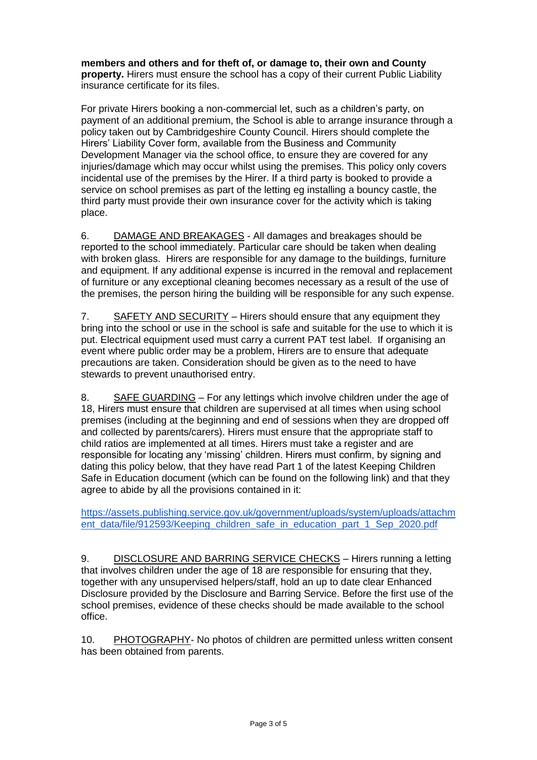**members and others and for theft of, or damage to, their own and County property.** Hirers must ensure the school has a copy of their current Public Liability insurance certificate for its files.

For private Hirers booking a non-commercial let, such as a children's party, on payment of an additional premium, the School is able to arrange insurance through a policy taken out by Cambridgeshire County Council. Hirers should complete the Hirers' Liability Cover form, available from the Business and Community Development Manager via the school office, to ensure they are covered for any injuries/damage which may occur whilst using the premises. This policy only covers incidental use of the premises by the Hirer. If a third party is booked to provide a service on school premises as part of the letting eg installing a bouncy castle, the third party must provide their own insurance cover for the activity which is taking place.

6. DAMAGE AND BREAKAGES - All damages and breakages should be reported to the school immediately. Particular care should be taken when dealing with broken glass. Hirers are responsible for any damage to the buildings, furniture and equipment. If any additional expense is incurred in the removal and replacement of furniture or any exceptional cleaning becomes necessary as a result of the use of the premises, the person hiring the building will be responsible for any such expense.

7. SAFETY AND SECURITY – Hirers should ensure that any equipment they bring into the school or use in the school is safe and suitable for the use to which it is put. Electrical equipment used must carry a current PAT test label. If organising an event where public order may be a problem, Hirers are to ensure that adequate precautions are taken. Consideration should be given as to the need to have stewards to prevent unauthorised entry.

8. SAFE GUARDING – For any lettings which involve children under the age of 18, Hirers must ensure that children are supervised at all times when using school premises (including at the beginning and end of sessions when they are dropped off and collected by parents/carers). Hirers must ensure that the appropriate staff to child ratios are implemented at all times. Hirers must take a register and are responsible for locating any 'missing' children. Hirers must confirm, by signing and dating this policy below, that they have read Part 1 of the latest Keeping Children Safe in Education document (which can be found on the following link) and that they agree to abide by all the provisions contained in it:

[https://assets.publishing.service.gov.uk/government/uploads/system/uploads/attachm](https://assets.publishing.service.gov.uk/government/uploads/system/uploads/attachment_data/file/912593/Keeping_children_safe_in_education_part_1_Sep_2020.pdf) [ent\\_data/file/912593/Keeping\\_children\\_safe\\_in\\_education\\_part\\_1\\_Sep\\_2020.pdf](https://assets.publishing.service.gov.uk/government/uploads/system/uploads/attachment_data/file/912593/Keeping_children_safe_in_education_part_1_Sep_2020.pdf)

9. DISCLOSURE AND BARRING SERVICE CHECKS – Hirers running a letting that involves children under the age of 18 are responsible for ensuring that they, together with any unsupervised helpers/staff, hold an up to date clear Enhanced Disclosure provided by the Disclosure and Barring Service. Before the first use of the school premises, evidence of these checks should be made available to the school office.

10. PHOTOGRAPHY- No photos of children are permitted unless written consent has been obtained from parents.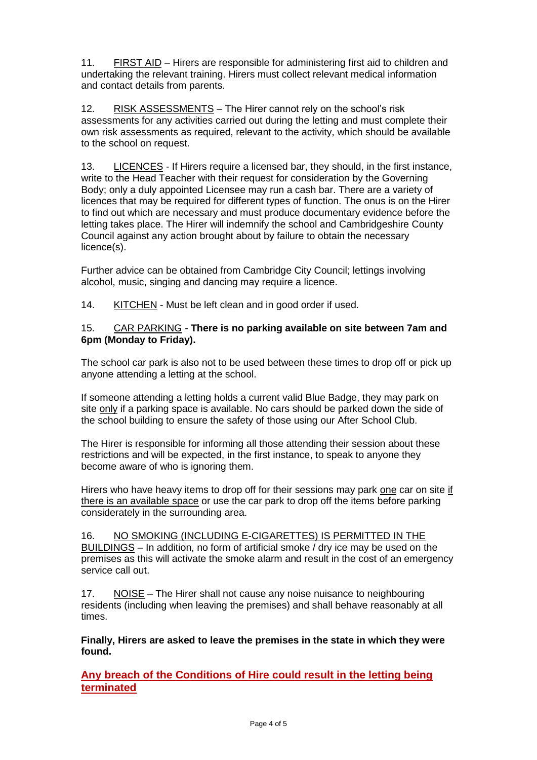11. FIRST AID – Hirers are responsible for administering first aid to children and undertaking the relevant training. Hirers must collect relevant medical information and contact details from parents.

12. RISK ASSESSMENTS – The Hirer cannot rely on the school's risk assessments for any activities carried out during the letting and must complete their own risk assessments as required, relevant to the activity, which should be available to the school on request.

13. LICENCES - If Hirers require a licensed bar, they should, in the first instance, write to the Head Teacher with their request for consideration by the Governing Body; only a duly appointed Licensee may run a cash bar. There are a variety of licences that may be required for different types of function. The onus is on the Hirer to find out which are necessary and must produce documentary evidence before the letting takes place. The Hirer will indemnify the school and Cambridgeshire County Council against any action brought about by failure to obtain the necessary licence(s).

Further advice can be obtained from Cambridge City Council; lettings involving alcohol, music, singing and dancing may require a licence.

14. KITCHEN - Must be left clean and in good order if used.

### 15. CAR PARKING - **There is no parking available on site between 7am and 6pm (Monday to Friday).**

The school car park is also not to be used between these times to drop off or pick up anyone attending a letting at the school.

If someone attending a letting holds a current valid Blue Badge, they may park on site only if a parking space is available. No cars should be parked down the side of the school building to ensure the safety of those using our After School Club.

The Hirer is responsible for informing all those attending their session about these restrictions and will be expected, in the first instance, to speak to anyone they become aware of who is ignoring them.

Hirers who have heavy items to drop off for their sessions may park one car on site if there is an available space or use the car park to drop off the items before parking considerately in the surrounding area.

16. NO SMOKING (INCLUDING E-CIGARETTES) IS PERMITTED IN THE BUILDINGS – In addition, no form of artificial smoke / dry ice may be used on the premises as this will activate the smoke alarm and result in the cost of an emergency service call out.

17. NOISE – The Hirer shall not cause any noise nuisance to neighbouring residents (including when leaving the premises) and shall behave reasonably at all times.

**Finally, Hirers are asked to leave the premises in the state in which they were found.**

**Any breach of the Conditions of Hire could result in the letting being terminated**